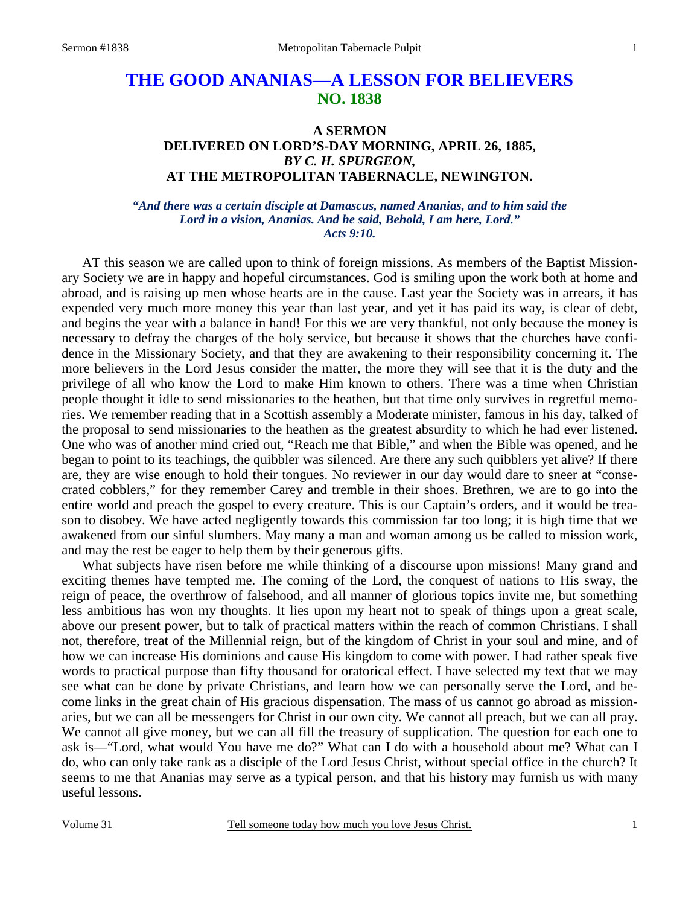# **THE GOOD ANANIAS—A LESSON FOR BELIEVERS NO. 1838**

# **A SERMON DELIVERED ON LORD'S-DAY MORNING, APRIL 26, 1885,**  *BY C. H. SPURGEON,*  **AT THE METROPOLITAN TABERNACLE, NEWINGTON.**

#### *"And there was a certain disciple at Damascus, named Ananias, and to him said the Lord in a vision, Ananias. And he said, Behold, I am here, Lord." Acts 9:10.*

AT this season we are called upon to think of foreign missions. As members of the Baptist Missionary Society we are in happy and hopeful circumstances. God is smiling upon the work both at home and abroad, and is raising up men whose hearts are in the cause. Last year the Society was in arrears, it has expended very much more money this year than last year, and yet it has paid its way, is clear of debt, and begins the year with a balance in hand! For this we are very thankful, not only because the money is necessary to defray the charges of the holy service, but because it shows that the churches have confidence in the Missionary Society, and that they are awakening to their responsibility concerning it. The more believers in the Lord Jesus consider the matter, the more they will see that it is the duty and the privilege of all who know the Lord to make Him known to others. There was a time when Christian people thought it idle to send missionaries to the heathen, but that time only survives in regretful memories. We remember reading that in a Scottish assembly a Moderate minister, famous in his day, talked of the proposal to send missionaries to the heathen as the greatest absurdity to which he had ever listened. One who was of another mind cried out, "Reach me that Bible," and when the Bible was opened, and he began to point to its teachings, the quibbler was silenced. Are there any such quibblers yet alive? If there are, they are wise enough to hold their tongues. No reviewer in our day would dare to sneer at "consecrated cobblers," for they remember Carey and tremble in their shoes. Brethren, we are to go into the entire world and preach the gospel to every creature. This is our Captain's orders, and it would be treason to disobey. We have acted negligently towards this commission far too long; it is high time that we awakened from our sinful slumbers. May many a man and woman among us be called to mission work, and may the rest be eager to help them by their generous gifts.

 What subjects have risen before me while thinking of a discourse upon missions! Many grand and exciting themes have tempted me. The coming of the Lord, the conquest of nations to His sway, the reign of peace, the overthrow of falsehood, and all manner of glorious topics invite me, but something less ambitious has won my thoughts. It lies upon my heart not to speak of things upon a great scale, above our present power, but to talk of practical matters within the reach of common Christians. I shall not, therefore, treat of the Millennial reign, but of the kingdom of Christ in your soul and mine, and of how we can increase His dominions and cause His kingdom to come with power. I had rather speak five words to practical purpose than fifty thousand for oratorical effect. I have selected my text that we may see what can be done by private Christians, and learn how we can personally serve the Lord, and become links in the great chain of His gracious dispensation. The mass of us cannot go abroad as missionaries, but we can all be messengers for Christ in our own city. We cannot all preach, but we can all pray. We cannot all give money, but we can all fill the treasury of supplication. The question for each one to ask is—"Lord, what would You have me do?" What can I do with a household about me? What can I do, who can only take rank as a disciple of the Lord Jesus Christ, without special office in the church? It seems to me that Ananias may serve as a typical person, and that his history may furnish us with many useful lessons.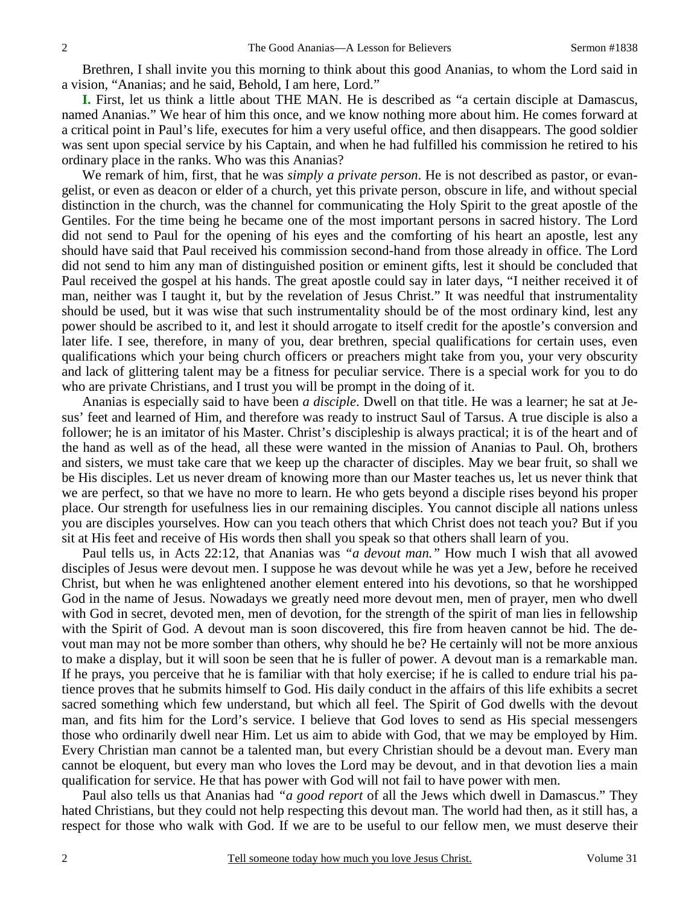Brethren, I shall invite you this morning to think about this good Ananias, to whom the Lord said in a vision, "Ananias; and he said, Behold, I am here, Lord."

**I.** First, let us think a little about THE MAN. He is described as "a certain disciple at Damascus, named Ananias." We hear of him this once, and we know nothing more about him. He comes forward at a critical point in Paul's life, executes for him a very useful office, and then disappears. The good soldier was sent upon special service by his Captain, and when he had fulfilled his commission he retired to his ordinary place in the ranks. Who was this Ananias?

 We remark of him, first, that he was *simply a private person*. He is not described as pastor, or evangelist, or even as deacon or elder of a church, yet this private person, obscure in life, and without special distinction in the church, was the channel for communicating the Holy Spirit to the great apostle of the Gentiles. For the time being he became one of the most important persons in sacred history. The Lord did not send to Paul for the opening of his eyes and the comforting of his heart an apostle, lest any should have said that Paul received his commission second-hand from those already in office. The Lord did not send to him any man of distinguished position or eminent gifts, lest it should be concluded that Paul received the gospel at his hands. The great apostle could say in later days, "I neither received it of man, neither was I taught it, but by the revelation of Jesus Christ." It was needful that instrumentality should be used, but it was wise that such instrumentality should be of the most ordinary kind, lest any power should be ascribed to it, and lest it should arrogate to itself credit for the apostle's conversion and later life. I see, therefore, in many of you, dear brethren, special qualifications for certain uses, even qualifications which your being church officers or preachers might take from you, your very obscurity and lack of glittering talent may be a fitness for peculiar service. There is a special work for you to do who are private Christians, and I trust you will be prompt in the doing of it.

 Ananias is especially said to have been *a disciple*. Dwell on that title. He was a learner; he sat at Jesus' feet and learned of Him, and therefore was ready to instruct Saul of Tarsus. A true disciple is also a follower; he is an imitator of his Master. Christ's discipleship is always practical; it is of the heart and of the hand as well as of the head, all these were wanted in the mission of Ananias to Paul. Oh, brothers and sisters, we must take care that we keep up the character of disciples. May we bear fruit, so shall we be His disciples. Let us never dream of knowing more than our Master teaches us, let us never think that we are perfect, so that we have no more to learn. He who gets beyond a disciple rises beyond his proper place. Our strength for usefulness lies in our remaining disciples. You cannot disciple all nations unless you are disciples yourselves. How can you teach others that which Christ does not teach you? But if you sit at His feet and receive of His words then shall you speak so that others shall learn of you.

 Paul tells us, in Acts 22:12, that Ananias was *"a devout man."* How much I wish that all avowed disciples of Jesus were devout men. I suppose he was devout while he was yet a Jew, before he received Christ, but when he was enlightened another element entered into his devotions, so that he worshipped God in the name of Jesus. Nowadays we greatly need more devout men, men of prayer, men who dwell with God in secret, devoted men, men of devotion, for the strength of the spirit of man lies in fellowship with the Spirit of God. A devout man is soon discovered, this fire from heaven cannot be hid. The devout man may not be more somber than others, why should he be? He certainly will not be more anxious to make a display, but it will soon be seen that he is fuller of power. A devout man is a remarkable man. If he prays, you perceive that he is familiar with that holy exercise; if he is called to endure trial his patience proves that he submits himself to God. His daily conduct in the affairs of this life exhibits a secret sacred something which few understand, but which all feel. The Spirit of God dwells with the devout man, and fits him for the Lord's service. I believe that God loves to send as His special messengers those who ordinarily dwell near Him. Let us aim to abide with God, that we may be employed by Him. Every Christian man cannot be a talented man, but every Christian should be a devout man. Every man cannot be eloquent, but every man who loves the Lord may be devout, and in that devotion lies a main qualification for service. He that has power with God will not fail to have power with men.

 Paul also tells us that Ananias had *"a good report* of all the Jews which dwell in Damascus." They hated Christians, but they could not help respecting this devout man. The world had then, as it still has, a respect for those who walk with God. If we are to be useful to our fellow men, we must deserve their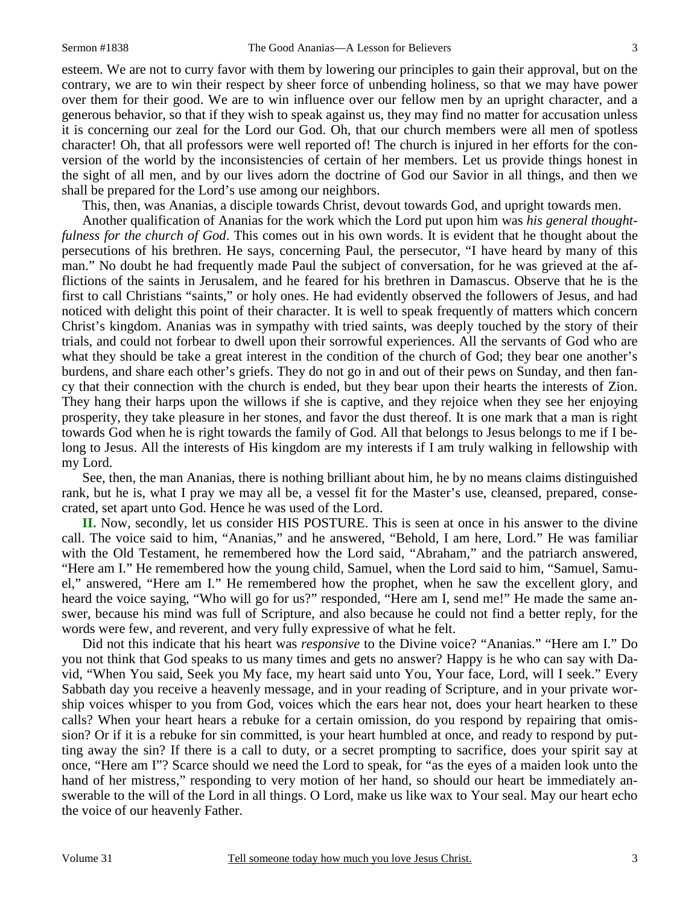esteem. We are not to curry favor with them by lowering our principles to gain their approval, but on the contrary, we are to win their respect by sheer force of unbending holiness, so that we may have power over them for their good. We are to win influence over our fellow men by an upright character, and a generous behavior, so that if they wish to speak against us, they may find no matter for accusation unless it is concerning our zeal for the Lord our God. Oh, that our church members were all men of spotless character! Oh, that all professors were well reported of! The church is injured in her efforts for the conversion of the world by the inconsistencies of certain of her members. Let us provide things honest in the sight of all men, and by our lives adorn the doctrine of God our Savior in all things, and then we shall be prepared for the Lord's use among our neighbors.

This, then, was Ananias, a disciple towards Christ, devout towards God, and upright towards men.

 Another qualification of Ananias for the work which the Lord put upon him was *his general thoughtfulness for the church of God*. This comes out in his own words. It is evident that he thought about the persecutions of his brethren. He says, concerning Paul, the persecutor, "I have heard by many of this man." No doubt he had frequently made Paul the subject of conversation, for he was grieved at the afflictions of the saints in Jerusalem, and he feared for his brethren in Damascus. Observe that he is the first to call Christians "saints," or holy ones. He had evidently observed the followers of Jesus, and had noticed with delight this point of their character. It is well to speak frequently of matters which concern Christ's kingdom. Ananias was in sympathy with tried saints, was deeply touched by the story of their trials, and could not forbear to dwell upon their sorrowful experiences. All the servants of God who are what they should be take a great interest in the condition of the church of God; they bear one another's burdens, and share each other's griefs. They do not go in and out of their pews on Sunday, and then fancy that their connection with the church is ended, but they bear upon their hearts the interests of Zion. They hang their harps upon the willows if she is captive, and they rejoice when they see her enjoying prosperity, they take pleasure in her stones, and favor the dust thereof. It is one mark that a man is right towards God when he is right towards the family of God. All that belongs to Jesus belongs to me if I belong to Jesus. All the interests of His kingdom are my interests if I am truly walking in fellowship with my Lord.

 See, then, the man Ananias, there is nothing brilliant about him, he by no means claims distinguished rank, but he is, what I pray we may all be, a vessel fit for the Master's use, cleansed, prepared, consecrated, set apart unto God. Hence he was used of the Lord.

**II.** Now, secondly, let us consider HIS POSTURE. This is seen at once in his answer to the divine call. The voice said to him, "Ananias," and he answered, "Behold, I am here, Lord." He was familiar with the Old Testament, he remembered how the Lord said, "Abraham," and the patriarch answered, "Here am I." He remembered how the young child, Samuel, when the Lord said to him, "Samuel, Samuel," answered, "Here am I." He remembered how the prophet, when he saw the excellent glory, and heard the voice saying, "Who will go for us?" responded, "Here am I, send me!" He made the same answer, because his mind was full of Scripture, and also because he could not find a better reply, for the words were few, and reverent, and very fully expressive of what he felt.

 Did not this indicate that his heart was *responsive* to the Divine voice? "Ananias." "Here am I." Do you not think that God speaks to us many times and gets no answer? Happy is he who can say with David, "When You said, Seek you My face, my heart said unto You, Your face, Lord, will I seek." Every Sabbath day you receive a heavenly message, and in your reading of Scripture, and in your private worship voices whisper to you from God, voices which the ears hear not, does your heart hearken to these calls? When your heart hears a rebuke for a certain omission, do you respond by repairing that omission? Or if it is a rebuke for sin committed, is your heart humbled at once, and ready to respond by putting away the sin? If there is a call to duty, or a secret prompting to sacrifice, does your spirit say at once, "Here am I"? Scarce should we need the Lord to speak, for "as the eyes of a maiden look unto the hand of her mistress," responding to very motion of her hand, so should our heart be immediately answerable to the will of the Lord in all things. O Lord, make us like wax to Your seal. May our heart echo the voice of our heavenly Father.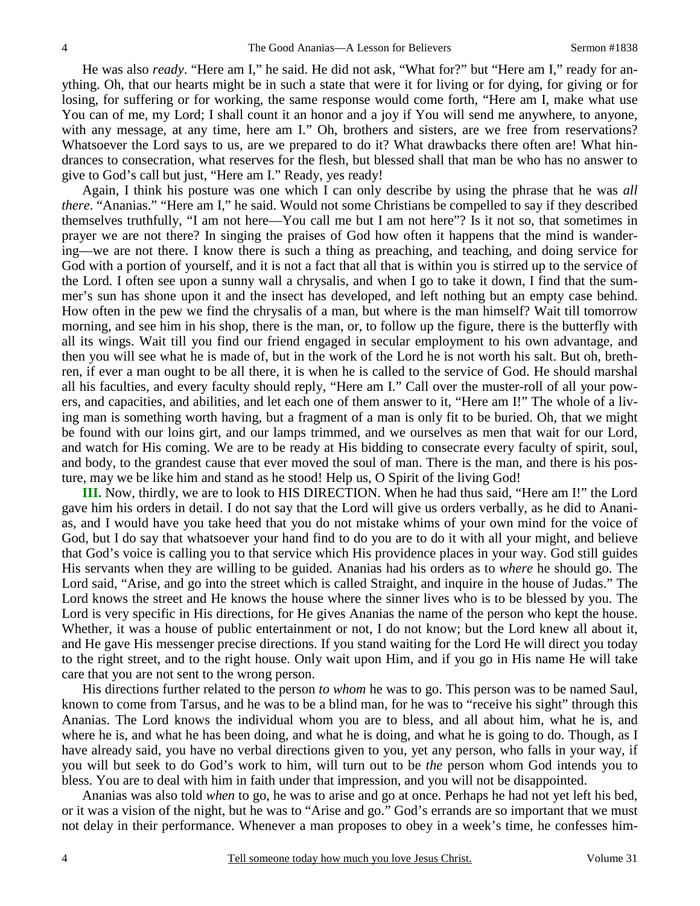He was also *ready*. "Here am I," he said. He did not ask, "What for?" but "Here am I," ready for anything. Oh, that our hearts might be in such a state that were it for living or for dying, for giving or for losing, for suffering or for working, the same response would come forth, "Here am I, make what use You can of me, my Lord; I shall count it an honor and a joy if You will send me anywhere, to anyone, with any message, at any time, here am I." Oh, brothers and sisters, are we free from reservations? Whatsoever the Lord says to us, are we prepared to do it? What drawbacks there often are! What hindrances to consecration, what reserves for the flesh, but blessed shall that man be who has no answer to give to God's call but just, "Here am I." Ready, yes ready!

 Again, I think his posture was one which I can only describe by using the phrase that he was *all there*. "Ananias." "Here am I," he said. Would not some Christians be compelled to say if they described themselves truthfully, "I am not here—You call me but I am not here"? Is it not so, that sometimes in prayer we are not there? In singing the praises of God how often it happens that the mind is wandering—we are not there. I know there is such a thing as preaching, and teaching, and doing service for God with a portion of yourself, and it is not a fact that all that is within you is stirred up to the service of the Lord. I often see upon a sunny wall a chrysalis, and when I go to take it down, I find that the summer's sun has shone upon it and the insect has developed, and left nothing but an empty case behind. How often in the pew we find the chrysalis of a man, but where is the man himself? Wait till tomorrow morning, and see him in his shop, there is the man, or, to follow up the figure, there is the butterfly with all its wings. Wait till you find our friend engaged in secular employment to his own advantage, and then you will see what he is made of, but in the work of the Lord he is not worth his salt. But oh, brethren, if ever a man ought to be all there, it is when he is called to the service of God. He should marshal all his faculties, and every faculty should reply, "Here am I." Call over the muster-roll of all your powers, and capacities, and abilities, and let each one of them answer to it, "Here am I!" The whole of a living man is something worth having, but a fragment of a man is only fit to be buried. Oh, that we might be found with our loins girt, and our lamps trimmed, and we ourselves as men that wait for our Lord, and watch for His coming. We are to be ready at His bidding to consecrate every faculty of spirit, soul, and body, to the grandest cause that ever moved the soul of man. There is the man, and there is his posture, may we be like him and stand as he stood! Help us, O Spirit of the living God!

**III.** Now, thirdly, we are to look to HIS DIRECTION. When he had thus said, "Here am I!" the Lord gave him his orders in detail. I do not say that the Lord will give us orders verbally, as he did to Ananias, and I would have you take heed that you do not mistake whims of your own mind for the voice of God, but I do say that whatsoever your hand find to do you are to do it with all your might, and believe that God's voice is calling you to that service which His providence places in your way. God still guides His servants when they are willing to be guided. Ananias had his orders as to *where* he should go. The Lord said, "Arise, and go into the street which is called Straight, and inquire in the house of Judas." The Lord knows the street and He knows the house where the sinner lives who is to be blessed by you. The Lord is very specific in His directions, for He gives Ananias the name of the person who kept the house. Whether, it was a house of public entertainment or not, I do not know; but the Lord knew all about it, and He gave His messenger precise directions. If you stand waiting for the Lord He will direct you today to the right street, and to the right house. Only wait upon Him, and if you go in His name He will take care that you are not sent to the wrong person.

 His directions further related to the person *to whom* he was to go. This person was to be named Saul, known to come from Tarsus, and he was to be a blind man, for he was to "receive his sight" through this Ananias. The Lord knows the individual whom you are to bless, and all about him, what he is, and where he is, and what he has been doing, and what he is doing, and what he is going to do. Though, as I have already said, you have no verbal directions given to you, yet any person, who falls in your way, if you will but seek to do God's work to him, will turn out to be *the* person whom God intends you to bless. You are to deal with him in faith under that impression, and you will not be disappointed.

 Ananias was also told *when* to go, he was to arise and go at once. Perhaps he had not yet left his bed, or it was a vision of the night, but he was to "Arise and go." God's errands are so important that we must not delay in their performance. Whenever a man proposes to obey in a week's time, he confesses him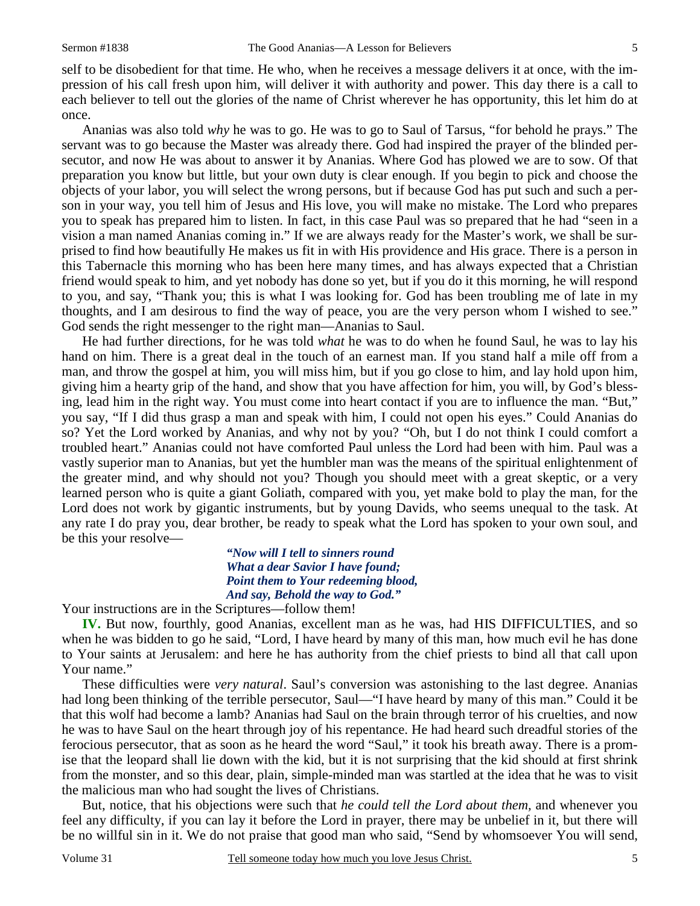self to be disobedient for that time. He who, when he receives a message delivers it at once, with the impression of his call fresh upon him, will deliver it with authority and power. This day there is a call to each believer to tell out the glories of the name of Christ wherever he has opportunity, this let him do at once.

 Ananias was also told *why* he was to go. He was to go to Saul of Tarsus, "for behold he prays." The servant was to go because the Master was already there. God had inspired the prayer of the blinded persecutor, and now He was about to answer it by Ananias. Where God has plowed we are to sow. Of that preparation you know but little, but your own duty is clear enough. If you begin to pick and choose the objects of your labor, you will select the wrong persons, but if because God has put such and such a person in your way, you tell him of Jesus and His love, you will make no mistake. The Lord who prepares you to speak has prepared him to listen. In fact, in this case Paul was so prepared that he had "seen in a vision a man named Ananias coming in." If we are always ready for the Master's work, we shall be surprised to find how beautifully He makes us fit in with His providence and His grace. There is a person in this Tabernacle this morning who has been here many times, and has always expected that a Christian friend would speak to him, and yet nobody has done so yet, but if you do it this morning, he will respond to you, and say, "Thank you; this is what I was looking for. God has been troubling me of late in my thoughts, and I am desirous to find the way of peace, you are the very person whom I wished to see." God sends the right messenger to the right man—Ananias to Saul.

 He had further directions, for he was told *what* he was to do when he found Saul, he was to lay his hand on him. There is a great deal in the touch of an earnest man. If you stand half a mile off from a man, and throw the gospel at him, you will miss him, but if you go close to him, and lay hold upon him, giving him a hearty grip of the hand, and show that you have affection for him, you will, by God's blessing, lead him in the right way. You must come into heart contact if you are to influence the man. "But," you say, "If I did thus grasp a man and speak with him, I could not open his eyes." Could Ananias do so? Yet the Lord worked by Ananias, and why not by you? "Oh, but I do not think I could comfort a troubled heart." Ananias could not have comforted Paul unless the Lord had been with him. Paul was a vastly superior man to Ananias, but yet the humbler man was the means of the spiritual enlightenment of the greater mind, and why should not you? Though you should meet with a great skeptic, or a very learned person who is quite a giant Goliath, compared with you, yet make bold to play the man, for the Lord does not work by gigantic instruments, but by young Davids, who seems unequal to the task. At any rate I do pray you, dear brother, be ready to speak what the Lord has spoken to your own soul, and be this your resolve—

> *"Now will I tell to sinners round What a dear Savior I have found; Point them to Your redeeming blood, And say, Behold the way to God."*

Your instructions are in the Scriptures—follow them!

**IV.** But now, fourthly, good Ananias, excellent man as he was, had HIS DIFFICULTIES, and so when he was bidden to go he said, "Lord, I have heard by many of this man, how much evil he has done to Your saints at Jerusalem: and here he has authority from the chief priests to bind all that call upon Your name."

 These difficulties were *very natural*. Saul's conversion was astonishing to the last degree. Ananias had long been thinking of the terrible persecutor, Saul—"I have heard by many of this man." Could it be that this wolf had become a lamb? Ananias had Saul on the brain through terror of his cruelties, and now he was to have Saul on the heart through joy of his repentance. He had heard such dreadful stories of the ferocious persecutor, that as soon as he heard the word "Saul," it took his breath away. There is a promise that the leopard shall lie down with the kid, but it is not surprising that the kid should at first shrink from the monster, and so this dear, plain, simple-minded man was startled at the idea that he was to visit the malicious man who had sought the lives of Christians.

 But, notice, that his objections were such that *he could tell the Lord about them,* and whenever you feel any difficulty, if you can lay it before the Lord in prayer, there may be unbelief in it, but there will be no willful sin in it. We do not praise that good man who said, "Send by whomsoever You will send,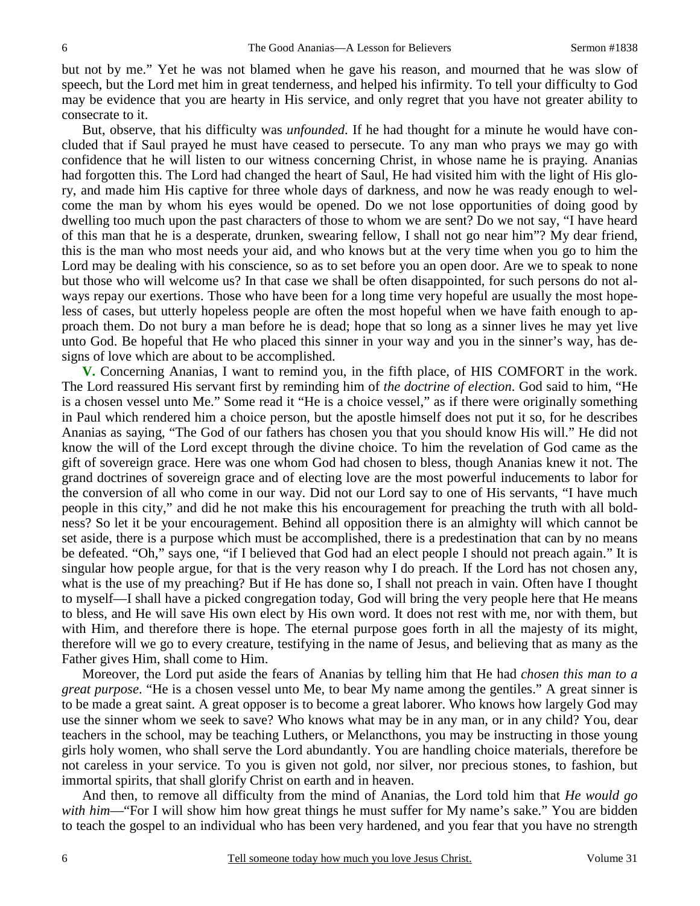but not by me." Yet he was not blamed when he gave his reason, and mourned that he was slow of speech, but the Lord met him in great tenderness, and helped his infirmity. To tell your difficulty to God may be evidence that you are hearty in His service, and only regret that you have not greater ability to consecrate to it.

 But, observe, that his difficulty was *unfounded*. If he had thought for a minute he would have concluded that if Saul prayed he must have ceased to persecute. To any man who prays we may go with confidence that he will listen to our witness concerning Christ, in whose name he is praying. Ananias had forgotten this. The Lord had changed the heart of Saul, He had visited him with the light of His glory, and made him His captive for three whole days of darkness, and now he was ready enough to welcome the man by whom his eyes would be opened. Do we not lose opportunities of doing good by dwelling too much upon the past characters of those to whom we are sent? Do we not say, "I have heard of this man that he is a desperate, drunken, swearing fellow, I shall not go near him"? My dear friend, this is the man who most needs your aid, and who knows but at the very time when you go to him the Lord may be dealing with his conscience, so as to set before you an open door. Are we to speak to none but those who will welcome us? In that case we shall be often disappointed, for such persons do not always repay our exertions. Those who have been for a long time very hopeful are usually the most hopeless of cases, but utterly hopeless people are often the most hopeful when we have faith enough to approach them. Do not bury a man before he is dead; hope that so long as a sinner lives he may yet live unto God. Be hopeful that He who placed this sinner in your way and you in the sinner's way, has designs of love which are about to be accomplished.

**V.** Concerning Ananias, I want to remind you, in the fifth place, of HIS COMFORT in the work. The Lord reassured His servant first by reminding him of *the doctrine of election*. God said to him, "He is a chosen vessel unto Me." Some read it "He is a choice vessel," as if there were originally something in Paul which rendered him a choice person, but the apostle himself does not put it so, for he describes Ananias as saying, "The God of our fathers has chosen you that you should know His will." He did not know the will of the Lord except through the divine choice. To him the revelation of God came as the gift of sovereign grace. Here was one whom God had chosen to bless, though Ananias knew it not. The grand doctrines of sovereign grace and of electing love are the most powerful inducements to labor for the conversion of all who come in our way. Did not our Lord say to one of His servants, "I have much people in this city," and did he not make this his encouragement for preaching the truth with all boldness? So let it be your encouragement. Behind all opposition there is an almighty will which cannot be set aside, there is a purpose which must be accomplished, there is a predestination that can by no means be defeated. "Oh," says one, "if I believed that God had an elect people I should not preach again." It is singular how people argue, for that is the very reason why I do preach. If the Lord has not chosen any, what is the use of my preaching? But if He has done so, I shall not preach in vain. Often have I thought to myself—I shall have a picked congregation today, God will bring the very people here that He means to bless, and He will save His own elect by His own word. It does not rest with me, nor with them, but with Him, and therefore there is hope. The eternal purpose goes forth in all the majesty of its might, therefore will we go to every creature, testifying in the name of Jesus, and believing that as many as the Father gives Him, shall come to Him.

 Moreover, the Lord put aside the fears of Ananias by telling him that He had *chosen this man to a great purpose*. "He is a chosen vessel unto Me, to bear My name among the gentiles." A great sinner is to be made a great saint. A great opposer is to become a great laborer. Who knows how largely God may use the sinner whom we seek to save? Who knows what may be in any man, or in any child? You, dear teachers in the school, may be teaching Luthers, or Melancthons, you may be instructing in those young girls holy women, who shall serve the Lord abundantly. You are handling choice materials, therefore be not careless in your service. To you is given not gold, nor silver, nor precious stones, to fashion, but immortal spirits, that shall glorify Christ on earth and in heaven.

 And then, to remove all difficulty from the mind of Ananias, the Lord told him that *He would go with him*—"For I will show him how great things he must suffer for My name's sake." You are bidden to teach the gospel to an individual who has been very hardened, and you fear that you have no strength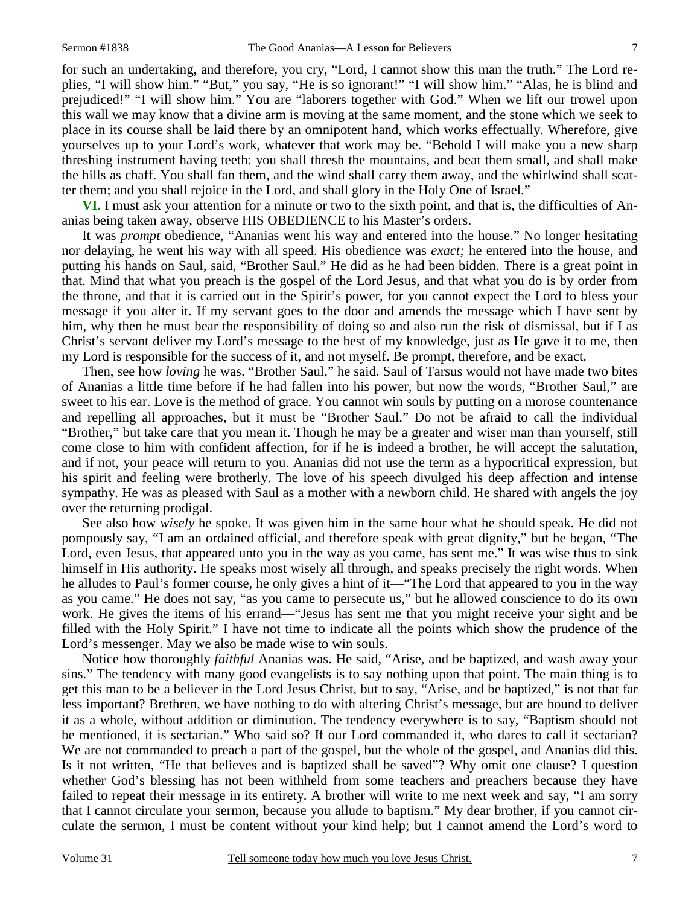for such an undertaking, and therefore, you cry, "Lord, I cannot show this man the truth." The Lord replies, "I will show him." "But," you say, "He is so ignorant!" "I will show him." "Alas, he is blind and prejudiced!" "I will show him." You are "laborers together with God." When we lift our trowel upon this wall we may know that a divine arm is moving at the same moment, and the stone which we seek to place in its course shall be laid there by an omnipotent hand, which works effectually. Wherefore, give yourselves up to your Lord's work, whatever that work may be. "Behold I will make you a new sharp threshing instrument having teeth: you shall thresh the mountains, and beat them small, and shall make the hills as chaff. You shall fan them, and the wind shall carry them away, and the whirlwind shall scatter them; and you shall rejoice in the Lord, and shall glory in the Holy One of Israel."

**VI.** I must ask your attention for a minute or two to the sixth point, and that is, the difficulties of Ananias being taken away, observe HIS OBEDIENCE to his Master's orders.

 It was *prompt* obedience, "Ananias went his way and entered into the house." No longer hesitating nor delaying, he went his way with all speed. His obedience was *exact;* he entered into the house, and putting his hands on Saul, said, "Brother Saul." He did as he had been bidden. There is a great point in that. Mind that what you preach is the gospel of the Lord Jesus, and that what you do is by order from the throne, and that it is carried out in the Spirit's power, for you cannot expect the Lord to bless your message if you alter it. If my servant goes to the door and amends the message which I have sent by him, why then he must bear the responsibility of doing so and also run the risk of dismissal, but if I as Christ's servant deliver my Lord's message to the best of my knowledge, just as He gave it to me, then my Lord is responsible for the success of it, and not myself. Be prompt, therefore, and be exact.

 Then, see how *loving* he was. "Brother Saul," he said. Saul of Tarsus would not have made two bites of Ananias a little time before if he had fallen into his power, but now the words, "Brother Saul," are sweet to his ear. Love is the method of grace. You cannot win souls by putting on a morose countenance and repelling all approaches, but it must be "Brother Saul." Do not be afraid to call the individual "Brother," but take care that you mean it. Though he may be a greater and wiser man than yourself, still come close to him with confident affection, for if he is indeed a brother, he will accept the salutation, and if not, your peace will return to you. Ananias did not use the term as a hypocritical expression, but his spirit and feeling were brotherly. The love of his speech divulged his deep affection and intense sympathy. He was as pleased with Saul as a mother with a newborn child. He shared with angels the joy over the returning prodigal.

 See also how *wisely* he spoke. It was given him in the same hour what he should speak. He did not pompously say, "I am an ordained official, and therefore speak with great dignity," but he began, "The Lord, even Jesus, that appeared unto you in the way as you came, has sent me." It was wise thus to sink himself in His authority. He speaks most wisely all through, and speaks precisely the right words. When he alludes to Paul's former course, he only gives a hint of it—"The Lord that appeared to you in the way as you came." He does not say, "as you came to persecute us," but he allowed conscience to do its own work. He gives the items of his errand—"Jesus has sent me that you might receive your sight and be filled with the Holy Spirit." I have not time to indicate all the points which show the prudence of the Lord's messenger. May we also be made wise to win souls.

 Notice how thoroughly *faithful* Ananias was. He said, "Arise, and be baptized, and wash away your sins." The tendency with many good evangelists is to say nothing upon that point. The main thing is to get this man to be a believer in the Lord Jesus Christ, but to say, "Arise, and be baptized," is not that far less important? Brethren, we have nothing to do with altering Christ's message, but are bound to deliver it as a whole, without addition or diminution. The tendency everywhere is to say, "Baptism should not be mentioned, it is sectarian." Who said so? If our Lord commanded it, who dares to call it sectarian? We are not commanded to preach a part of the gospel, but the whole of the gospel, and Ananias did this. Is it not written, "He that believes and is baptized shall be saved"? Why omit one clause? I question whether God's blessing has not been withheld from some teachers and preachers because they have failed to repeat their message in its entirety. A brother will write to me next week and say, "I am sorry that I cannot circulate your sermon, because you allude to baptism." My dear brother, if you cannot circulate the sermon, I must be content without your kind help; but I cannot amend the Lord's word to